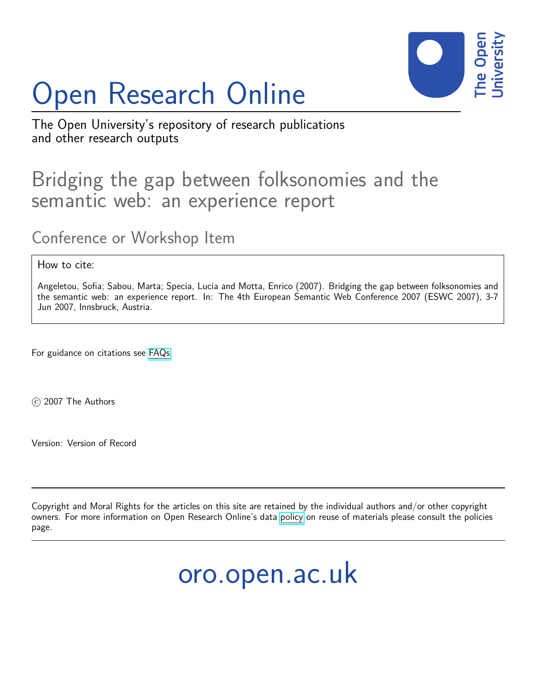# Open Research Online



The Open University's repository of research publications and other research outputs

### Bridging the gap between folksonomies and the semantic web: an experience report

Conference or Workshop Item

How to cite:

Angeletou, Sofia; Sabou, Marta; Specia, Lucia and Motta, Enrico (2007). Bridging the gap between folksonomies and the semantic web: an experience report. In: The 4th European Semantic Web Conference 2007 (ESWC 2007), 3-7 Jun 2007, Innsbruck, Austria.

For guidance on citations see [FAQs.](http://oro.open.ac.uk/help/helpfaq.html)

c 2007 The Authors

Version: Version of Record

Copyright and Moral Rights for the articles on this site are retained by the individual authors and/or other copyright owners. For more information on Open Research Online's data [policy](http://oro.open.ac.uk/policies.html) on reuse of materials please consult the policies page.

## oro.open.ac.uk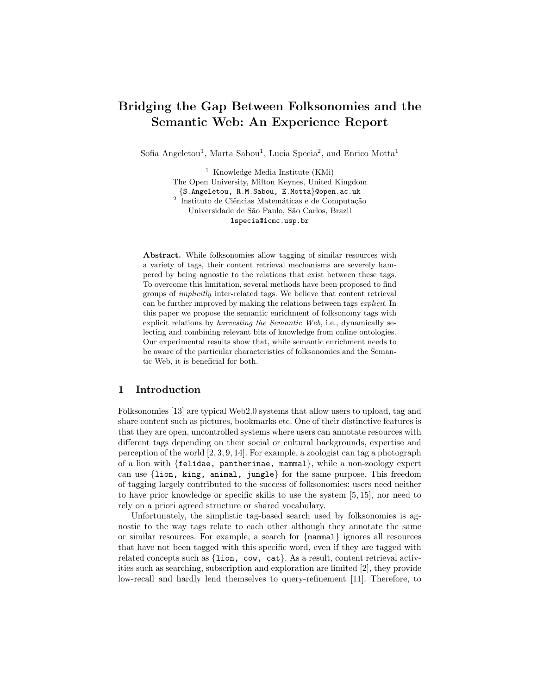#### Bridging the Gap Between Folksonomies and the Semantic Web: An Experience Report

Sofia Angeletou<sup>1</sup>, Marta Sabou<sup>1</sup>, Lucia Specia<sup>2</sup>, and Enrico Motta<sup>1</sup>

<sup>1</sup> Knowledge Media Institute (KMi) The Open University, Milton Keynes, United Kingdom {S.Angeletou, R.M.Sabou, E.Motta}@open.ac.uk <sup>2</sup> Instituto de Ciências Matemáticas e de Computação Universidade de S˜ao Paulo, S˜ao Carlos, Brazil lspecia@icmc.usp.br

Abstract. While folksonomies allow tagging of similar resources with a variety of tags, their content retrieval mechanisms are severely hampered by being agnostic to the relations that exist between these tags. To overcome this limitation, several methods have been proposed to find groups of implicitly inter-related tags. We believe that content retrieval can be further improved by making the relations between tags explicit. In this paper we propose the semantic enrichment of folksonomy tags with explicit relations by harvesting the Semantic Web, i.e., dynamically selecting and combining relevant bits of knowledge from online ontologies. Our experimental results show that, while semantic enrichment needs to be aware of the particular characteristics of folksonomies and the Semantic Web, it is beneficial for both.

#### 1 Introduction

Folksonomies [13] are typical Web2.0 systems that allow users to upload, tag and share content such as pictures, bookmarks etc. One of their distinctive features is that they are open, uncontrolled systems where users can annotate resources with different tags depending on their social or cultural backgrounds, expertise and perception of the world [2, 3, 9, 14]. For example, a zoologist can tag a photograph of a lion with {felidae, pantherinae, mammal}, while a non-zoology expert can use {lion, king, animal, jungle} for the same purpose. This freedom of tagging largely contributed to the success of folksonomies: users need neither to have prior knowledge or specific skills to use the system [5, 15], nor need to rely on a priori agreed structure or shared vocabulary.

Unfortunately, the simplistic tag-based search used by folksonomies is agnostic to the way tags relate to each other although they annotate the same or similar resources. For example, a search for {mammal} ignores all resources that have not been tagged with this specific word, even if they are tagged with related concepts such as {lion, cow, cat}. As a result, content retrieval activities such as searching, subscription and exploration are limited [2], they provide low-recall and hardly lend themselves to query-refinement [11]. Therefore, to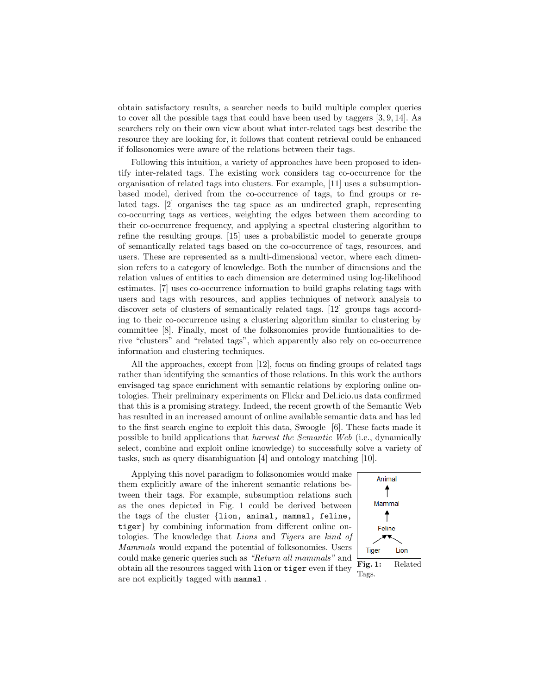obtain satisfactory results, a searcher needs to build multiple complex queries to cover all the possible tags that could have been used by taggers [3, 9, 14]. As searchers rely on their own view about what inter-related tags best describe the resource they are looking for, it follows that content retrieval could be enhanced if folksonomies were aware of the relations between their tags.

Following this intuition, a variety of approaches have been proposed to identify inter-related tags. The existing work considers tag co-occurrence for the organisation of related tags into clusters. For example, [11] uses a subsumptionbased model, derived from the co-occurrence of tags, to find groups or related tags. [2] organises the tag space as an undirected graph, representing co-occurring tags as vertices, weighting the edges between them according to their co-occurrence frequency, and applying a spectral clustering algorithm to refine the resulting groups. [15] uses a probabilistic model to generate groups of semantically related tags based on the co-occurrence of tags, resources, and users. These are represented as a multi-dimensional vector, where each dimension refers to a category of knowledge. Both the number of dimensions and the relation values of entities to each dimension are determined using log-likelihood estimates. [7] uses co-occurrence information to build graphs relating tags with users and tags with resources, and applies techniques of network analysis to discover sets of clusters of semantically related tags. [12] groups tags according to their co-occurrence using a clustering algorithm similar to clustering by committee [8]. Finally, most of the folksonomies provide funtionalities to derive "clusters" and "related tags", which apparently also rely on co-occurrence information and clustering techniques.

All the approaches, except from [12], focus on finding groups of related tags rather than identifying the semantics of those relations. In this work the authors envisaged tag space enrichment with semantic relations by exploring online ontologies. Their preliminary experiments on Flickr and Del.icio.us data confirmed that this is a promising strategy. Indeed, the recent growth of the Semantic Web has resulted in an increased amount of online available semantic data and has led to the first search engine to exploit this data, Swoogle [6]. These facts made it possible to build applications that harvest the Semantic Web (i.e., dynamically select, combine and exploit online knowledge) to successfully solve a variety of tasks, such as query disambiguation [4] and ontology matching [10].

Applying this novel paradigm to folksonomies would make them explicitly aware of the inherent semantic relations between their tags. For example, subsumption relations such as the ones depicted in Fig. 1 could be derived between the tags of the cluster {lion, animal, mammal, feline, tiger} by combining information from different online ontologies. The knowledge that Lions and Tigers are kind of Mammals would expand the potential of folksonomies. Users could make generic queries such as "Return all mammals" and obtain all the resources tagged with lion or tiger even if they are not explicitly tagged with mammal .



Tags.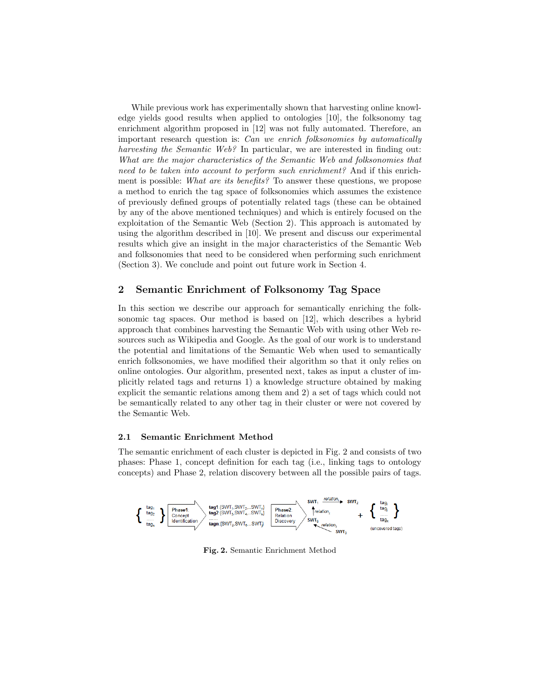While previous work has experimentally shown that harvesting online knowledge yields good results when applied to ontologies [10], the folksonomy tag enrichment algorithm proposed in [12] was not fully automated. Therefore, an important research question is: Can we enrich folksonomies by automatically harvesting the Semantic Web? In particular, we are interested in finding out: What are the major characteristics of the Semantic Web and folksonomies that need to be taken into account to perform such enrichment? And if this enrichment is possible: What are its benefits? To answer these questions, we propose a method to enrich the tag space of folksonomies which assumes the existence of previously defined groups of potentially related tags (these can be obtained by any of the above mentioned techniques) and which is entirely focused on the exploitation of the Semantic Web (Section 2). This approach is automated by using the algorithm described in [10]. We present and discuss our experimental results which give an insight in the major characteristics of the Semantic Web and folksonomies that need to be considered when performing such enrichment (Section 3). We conclude and point out future work in Section 4.

#### 2 Semantic Enrichment of Folksonomy Tag Space

In this section we describe our approach for semantically enriching the folksonomic tag spaces. Our method is based on [12], which describes a hybrid approach that combines harvesting the Semantic Web with using other Web resources such as Wikipedia and Google. As the goal of our work is to understand the potential and limitations of the Semantic Web when used to semantically enrich folksonomies, we have modified their algorithm so that it only relies on online ontologies. Our algorithm, presented next, takes as input a cluster of implicitly related tags and returns 1) a knowledge structure obtained by making explicit the semantic relations among them and 2) a set of tags which could not be semantically related to any other tag in their cluster or were not covered by the Semantic Web.

#### 2.1 Semantic Enrichment Method

The semantic enrichment of each cluster is depicted in Fig. 2 and consists of two phases: Phase 1, concept definition for each tag (i.e., linking tags to ontology concepts) and Phase 2, relation discovery between all the possible pairs of tags.



Fig. 2. Semantic Enrichment Method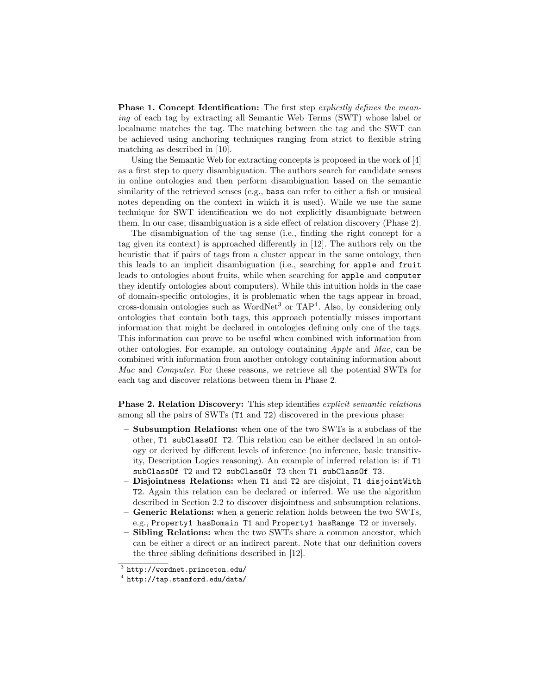**Phase 1. Concept Identification:** The first step *explicitly defines the mean*ing of each tag by extracting all Semantic Web Terms (SWT) whose label or localname matches the tag. The matching between the tag and the SWT can be achieved using anchoring techniques ranging from strict to flexible string matching as described in [10].

Using the Semantic Web for extracting concepts is proposed in the work of [4] as a first step to query disambiguation. The authors search for candidate senses in online ontologies and then perform disambiguation based on the semantic similarity of the retrieved senses (e.g., bass can refer to either a fish or musical notes depending on the context in which it is used). While we use the same technique for SWT identification we do not explicitly disambiguate between them. In our case, disambiguation is a side effect of relation discovery (Phase 2).

The disambiguation of the tag sense (i.e., finding the right concept for a tag given its context) is approached differently in [12]. The authors rely on the heuristic that if pairs of tags from a cluster appear in the same ontology, then this leads to an implicit disambiguation (i.e., searching for apple and fruit leads to ontologies about fruits, while when searching for apple and computer they identify ontologies about computers). While this intuition holds in the case of domain-specific ontologies, it is problematic when the tags appear in broad, cross-domain ontologies such as WordNet<sup>3</sup> or TAP<sup>4</sup>. Also, by considering only ontologies that contain both tags, this approach potentially misses important information that might be declared in ontologies defining only one of the tags. This information can prove to be useful when combined with information from other ontologies. For example, an ontology containing Apple and Mac, can be combined with information from another ontology containing information about Mac and Computer. For these reasons, we retrieve all the potential SWTs for each tag and discover relations between them in Phase 2.

Phase 2. Relation Discovery: This step identifies explicit semantic relations among all the pairs of SWTs (T1 and T2) discovered in the previous phase:

- Subsumption Relations: when one of the two SWTs is a subclass of the other, T1 subClassOf T2. This relation can be either declared in an ontology or derived by different levels of inference (no inference, basic transitivity, Description Logics reasoning). An example of inferred relation is: if T1 subClassOf T2 and T2 subClassOf T3 then T1 subClassOf T3.
- Disjointness Relations: when T1 and T2 are disjoint, T1 disjointWith T2. Again this relation can be declared or inferred. We use the algorithm described in Section 2.2 to discover disjointness and subsumption relations.
- Generic Relations: when a generic relation holds between the two SWTs, e.g., Property1 hasDomain T1 and Property1 hasRange T2 or inversely.
- Sibling Relations: when the two SWTs share a common ancestor, which can be either a direct or an indirect parent. Note that our definition covers the three sibling definitions described in [12].

 $^3$  http://wordnet.princeton.edu/

 $^4$  http://tap.stanford.edu/data/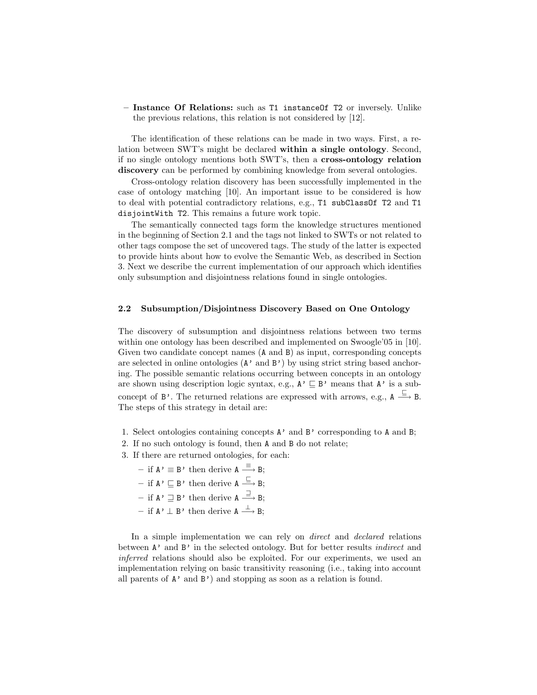– Instance Of Relations: such as T1 instanceOf T2 or inversely. Unlike the previous relations, this relation is not considered by [12].

The identification of these relations can be made in two ways. First, a relation between SWT's might be declared within a single ontology. Second, if no single ontology mentions both SWT's, then a cross-ontology relation discovery can be performed by combining knowledge from several ontologies.

Cross-ontology relation discovery has been successfully implemented in the case of ontology matching [10]. An important issue to be considered is how to deal with potential contradictory relations, e.g., T1 subClassOf T2 and T1 disjointWith T2. This remains a future work topic.

The semantically connected tags form the knowledge structures mentioned in the beginning of Section 2.1 and the tags not linked to SWTs or not related to other tags compose the set of uncovered tags. The study of the latter is expected to provide hints about how to evolve the Semantic Web, as described in Section 3. Next we describe the current implementation of our approach which identifies only subsumption and disjointness relations found in single ontologies.

#### 2.2 Subsumption/Disjointness Discovery Based on One Ontology

The discovery of subsumption and disjointness relations between two terms within one ontology has been described and implemented on Swoogle'05 in [10]. Given two candidate concept names (A and B) as input, corresponding concepts are selected in online ontologies  $(A'$  and  $B'$ ) by using strict string based anchoring. The possible semantic relations occurring between concepts in an ontology are shown using description logic syntax, e.g.,  $A' \subseteq B'$  means that  $A'$  is a subconcept of  $\mathbb{B}^1$ . The returned relations are expressed with arrows, e.g.,  $A \stackrel{\sqsubseteq}{\longrightarrow} B$ . The steps of this strategy in detail are:

- 1. Select ontologies containing concepts A' and B' corresponding to A and B;
- 2. If no such ontology is found, then A and B do not relate;
- 3. If there are returned ontologies, for each:
	- $-$  if  $\mathbf{A}$ '  $\equiv$  B' then derive  $\mathbf{A} \stackrel{\equiv}{\longrightarrow} \mathbf{B}$ ;
	- $-$  if **A**'  $\sqsubseteq$  **B**' then derive **A**  $\stackrel{\sqsubseteq}{\longrightarrow}$  **B**;
	- $-$  if **A**'  $\supseteq$  **B**' then derive **A**  $\stackrel{\supseteq}{\longrightarrow}$  **B**;
	- $-$  if **A**'  $\perp$  **B**' then derive **A**  $\stackrel{\perp}{\longrightarrow}$  **B**;

In a simple implementation we can rely on *direct* and *declared* relations between A' and B' in the selected ontology. But for better results *indirect* and inferred relations should also be exploited. For our experiments, we used an implementation relying on basic transitivity reasoning (i.e., taking into account all parents of  $A'$  and  $B'$ ) and stopping as soon as a relation is found.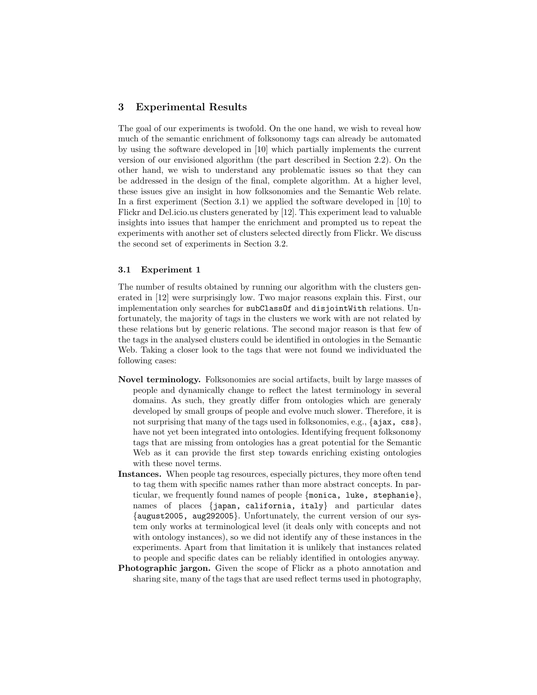#### 3 Experimental Results

The goal of our experiments is twofold. On the one hand, we wish to reveal how much of the semantic enrichment of folksonomy tags can already be automated by using the software developed in [10] which partially implements the current version of our envisioned algorithm (the part described in Section 2.2). On the other hand, we wish to understand any problematic issues so that they can be addressed in the design of the final, complete algorithm. At a higher level, these issues give an insight in how folksonomies and the Semantic Web relate. In a first experiment (Section 3.1) we applied the software developed in [10] to Flickr and Del.icio.us clusters generated by [12]. This experiment lead to valuable insights into issues that hamper the enrichment and prompted us to repeat the experiments with another set of clusters selected directly from Flickr. We discuss the second set of experiments in Section 3.2.

#### 3.1 Experiment 1

The number of results obtained by running our algorithm with the clusters generated in [12] were surprisingly low. Two major reasons explain this. First, our implementation only searches for subClassOf and disjointWith relations. Unfortunately, the majority of tags in the clusters we work with are not related by these relations but by generic relations. The second major reason is that few of the tags in the analysed clusters could be identified in ontologies in the Semantic Web. Taking a closer look to the tags that were not found we individuated the following cases:

- Novel terminology. Folksonomies are social artifacts, built by large masses of people and dynamically change to reflect the latest terminology in several domains. As such, they greatly differ from ontologies which are generaly developed by small groups of people and evolve much slower. Therefore, it is not surprising that many of the tags used in folksonomies, e.g.,  $\{a\,jax, \,css\}$ , have not yet been integrated into ontologies. Identifying frequent folksonomy tags that are missing from ontologies has a great potential for the Semantic Web as it can provide the first step towards enriching existing ontologies with these novel terms.
- Instances. When people tag resources, especially pictures, they more often tend to tag them with specific names rather than more abstract concepts. In particular, we frequently found names of people {monica, luke, stephanie}, names of places {japan, california, italy} and particular dates {august2005, aug292005}. Unfortunately, the current version of our system only works at terminological level (it deals only with concepts and not with ontology instances), so we did not identify any of these instances in the experiments. Apart from that limitation it is unlikely that instances related to people and specific dates can be reliably identified in ontologies anyway.
- Photographic jargon. Given the scope of Flickr as a photo annotation and sharing site, many of the tags that are used reflect terms used in photography,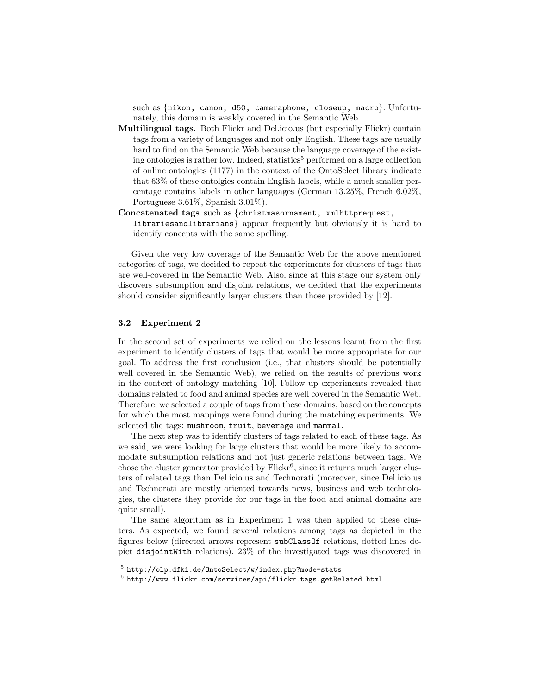such as {nikon, canon, d50, cameraphone, closeup, macro}. Unfortunately, this domain is weakly covered in the Semantic Web.

- Multilingual tags. Both Flickr and Del.icio.us (but especially Flickr) contain tags from a variety of languages and not only English. These tags are usually hard to find on the Semantic Web because the language coverage of the existing ontologies is rather low. Indeed, statistics<sup>5</sup> performed on a large collection of online ontologies (1177) in the context of the OntoSelect library indicate that 63% of these ontolgies contain English labels, while a much smaller percentage contains labels in other languages (German 13.25%, French 6.02%, Portuguese 3.61%, Spanish 3.01%).
- Concatenated tags such as {christmasornament, xmlhttprequest, librariesandlibrarians} appear frequently but obviously it is hard to identify concepts with the same spelling.

Given the very low coverage of the Semantic Web for the above mentioned categories of tags, we decided to repeat the experiments for clusters of tags that are well-covered in the Semantic Web. Also, since at this stage our system only discovers subsumption and disjoint relations, we decided that the experiments should consider significantly larger clusters than those provided by [12].

#### 3.2 Experiment 2

In the second set of experiments we relied on the lessons learnt from the first experiment to identify clusters of tags that would be more appropriate for our goal. To address the first conclusion (i.e., that clusters should be potentially well covered in the Semantic Web), we relied on the results of previous work in the context of ontology matching [10]. Follow up experiments revealed that domains related to food and animal species are well covered in the Semantic Web. Therefore, we selected a couple of tags from these domains, based on the concepts for which the most mappings were found during the matching experiments. We selected the tags: mushroom, fruit, beverage and mammal.

The next step was to identify clusters of tags related to each of these tags. As we said, we were looking for large clusters that would be more likely to accommodate subsumption relations and not just generic relations between tags. We chose the cluster generator provided by  $Flickr^6$ , since it returns much larger clusters of related tags than Del.icio.us and Technorati (moreover, since Del.icio.us and Technorati are mostly oriented towards news, business and web technologies, the clusters they provide for our tags in the food and animal domains are quite small).

The same algorithm as in Experiment 1 was then applied to these clusters. As expected, we found several relations among tags as depicted in the figures below (directed arrows represent subClassOf relations, dotted lines depict disjointWith relations). 23% of the investigated tags was discovered in

 $^5$ http://olp.dfki.de/OntoSelect/w/index.php?mode=stats

 $^6$  http://www.flickr.com/services/api/flickr.tags.getRelated.html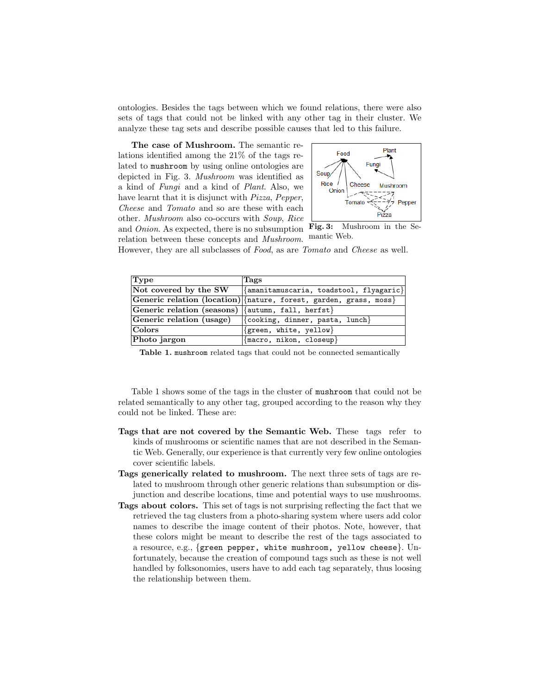ontologies. Besides the tags between which we found relations, there were also sets of tags that could not be linked with any other tag in their cluster. We analyze these tag sets and describe possible causes that led to this failure.

The case of Mushroom. The semantic relations identified among the 21% of the tags related to mushroom by using online ontologies are depicted in Fig. 3. Mushroom was identified as a kind of Fungi and a kind of Plant. Also, we have learnt that it is disjunct with Pizza, Pepper, Cheese and Tomato and so are these with each other. Mushroom also co-occurs with Soup, Rice and Onion. As expected, there is no subsumption



Fig. 3: Mushroom in the Semantic Web.

relation between these concepts and Mushroom. However, they are all subclasses of Food, as are Tomato and Cheese as well.

| Type                                               | Tags                                                                  |
|----------------------------------------------------|-----------------------------------------------------------------------|
| Not covered by the SW                              | $ \{\text{amantamuscaria},\text{toadstool},\text{flyagaric}\}\rangle$ |
|                                                    | Generic relation (location) {nature, forest, garden, grass, moss}     |
| Generic relation (seasons) {{autumn, fall, herfst} |                                                                       |
| Generic relation (usage)                           | $\{\text{cooking}, \text{ dinner}, \text{pasta}, \text{ lunch}\}\$    |
| $ _\text{Colors} $                                 | $\{green, white, yellow\}$                                            |
| Photo jargon                                       | {macro, nikon, closeup}                                               |

Table 1. mushroom related tags that could not be connected semantically

Table 1 shows some of the tags in the cluster of mushroom that could not be related semantically to any other tag, grouped according to the reason why they could not be linked. These are:

- Tags that are not covered by the Semantic Web. These tags refer to kinds of mushrooms or scientific names that are not described in the Semantic Web. Generally, our experience is that currently very few online ontologies cover scientific labels.
- Tags generically related to mushroom. The next three sets of tags are related to mushroom through other generic relations than subsumption or disjunction and describe locations, time and potential ways to use mushrooms.
- Tags about colors. This set of tags is not surprising reflecting the fact that we retrieved the tag clusters from a photo-sharing system where users add color names to describe the image content of their photos. Note, however, that these colors might be meant to describe the rest of the tags associated to a resource, e.g., {green pepper, white mushroom, yellow cheese}. Unfortunately, because the creation of compound tags such as these is not well handled by folksonomies, users have to add each tag separately, thus loosing the relationship between them.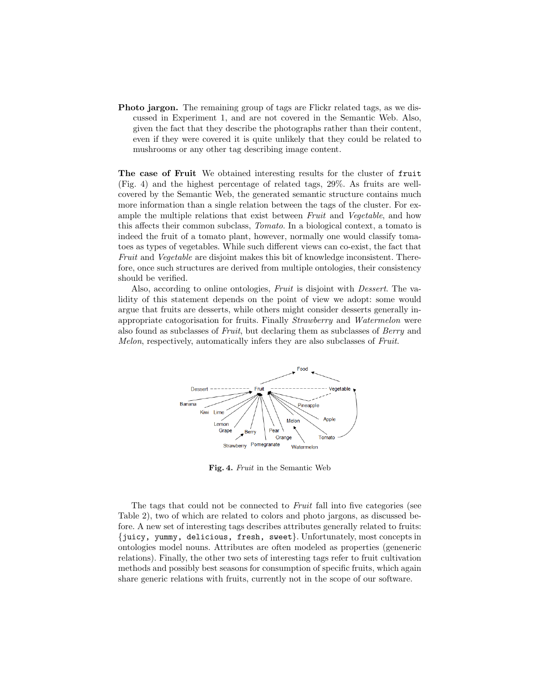Photo jargon. The remaining group of tags are Flickr related tags, as we discussed in Experiment 1, and are not covered in the Semantic Web. Also, given the fact that they describe the photographs rather than their content, even if they were covered it is quite unlikely that they could be related to mushrooms or any other tag describing image content.

The case of Fruit We obtained interesting results for the cluster of fruit (Fig. 4) and the highest percentage of related tags, 29%. As fruits are wellcovered by the Semantic Web, the generated semantic structure contains much more information than a single relation between the tags of the cluster. For example the multiple relations that exist between Fruit and Vegetable, and how this affects their common subclass, Tomato. In a biological context, a tomato is indeed the fruit of a tomato plant, however, normally one would classify tomatoes as types of vegetables. While such different views can co-exist, the fact that Fruit and Vegetable are disjoint makes this bit of knowledge inconsistent. Therefore, once such structures are derived from multiple ontologies, their consistency should be verified.

Also, according to online ontologies, Fruit is disjoint with Dessert. The validity of this statement depends on the point of view we adopt: some would argue that fruits are desserts, while others might consider desserts generally inappropriate catogorisation for fruits. Finally Strawberry and Watermelon were also found as subclasses of Fruit, but declaring them as subclasses of Berry and Melon, respectively, automatically infers they are also subclasses of Fruit.



Fig. 4. Fruit in the Semantic Web

The tags that could not be connected to Fruit fall into five categories (see Table 2), two of which are related to colors and photo jargons, as discussed before. A new set of interesting tags describes attributes generally related to fruits: {juicy, yummy, delicious, fresh, sweet}. Unfortunately, most concepts in ontologies model nouns. Attributes are often modeled as properties (geneneric relations). Finally, the other two sets of interesting tags refer to fruit cultivation methods and possibly best seasons for consumption of specific fruits, which again share generic relations with fruits, currently not in the scope of our software.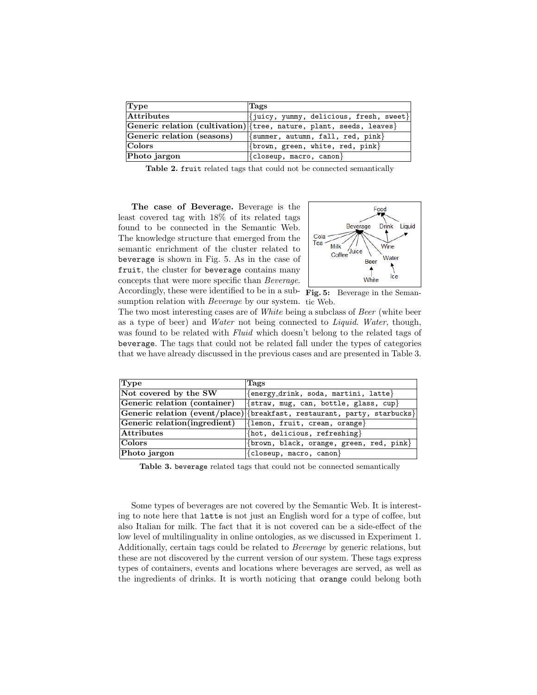| $ {\rm Type}$              | Tags                                                                         |
|----------------------------|------------------------------------------------------------------------------|
| Attributes                 | $ \{juicy, yummy, delicious, fresh, sweet\} $                                |
|                            | Generic relation (cultivation) { tree, nature, plant, seeds, leaves }        |
| Generic relation (seasons) | $ \{\text{summer}, \text{ autumn}, \text{ fall}, \text{red}, \text{pink}\} $ |
| $  \text{Colors}  $        | $ \{\text{brown}, \text{green}, \text{white}, \text{red}, \text{pink}\} $    |
| Photo jargon               | $\{\text{closeup}, \text{macro}, \text{ canon}\}$                            |

Table 2. fruit related tags that could not be connected semantically

The case of Beverage. Beverage is the least covered tag with 18% of its related tags found to be connected in the Semantic Web. The knowledge structure that emerged from the semantic enrichment of the cluster related to beverage is shown in Fig. 5. As in the case of fruit, the cluster for beverage contains many concepts that were more specific than Beverage. Accordingly, these were identified to be in a sub- Fig. 5: Beverage in the Semansumption relation with *Beverage* by our system. tic Web.



The two most interesting cases are of *White* being a subclass of *Beer* (white beer as a type of beer) and Water not being connected to Liquid. Water, though, was found to be related with *Fluid* which doesn't belong to the related tags of beverage. The tags that could not be related fall under the types of categories that we have already discussed in the previous cases and are presented in Table 3.

| Type                         | Tags                                                                     |
|------------------------------|--------------------------------------------------------------------------|
| Not covered by the SW        | ${energy\_drink, soda, martini, latte}$                                  |
| Generic relation (container) | $\{strav, mug, can, bottle, glass, cup\}$                                |
|                              | Generic relation (event/place) {breakfast, restaurant, party, starbucks} |
| Generic relation(ingredient) | $\{\text{lemma}, \text{ fruit}, \text{ cream}, \text{orange}\}\$         |
| <b>Attributes</b>            | $\{hot, delicious, refreshing\}$                                         |
| Colors                       | $\{brown, black, orange, green, red, pink\}$                             |
| Photo jargon                 | ${closeup, macro, canon}$                                                |

Table 3. beverage related tags that could not be connected semantically

Some types of beverages are not covered by the Semantic Web. It is interesting to note here that latte is not just an English word for a type of coffee, but also Italian for milk. The fact that it is not covered can be a side-effect of the low level of multilinguality in online ontologies, as we discussed in Experiment 1. Additionally, certain tags could be related to Beverage by generic relations, but these are not discovered by the current version of our system. These tags express types of containers, events and locations where beverages are served, as well as the ingredients of drinks. It is worth noticing that orange could belong both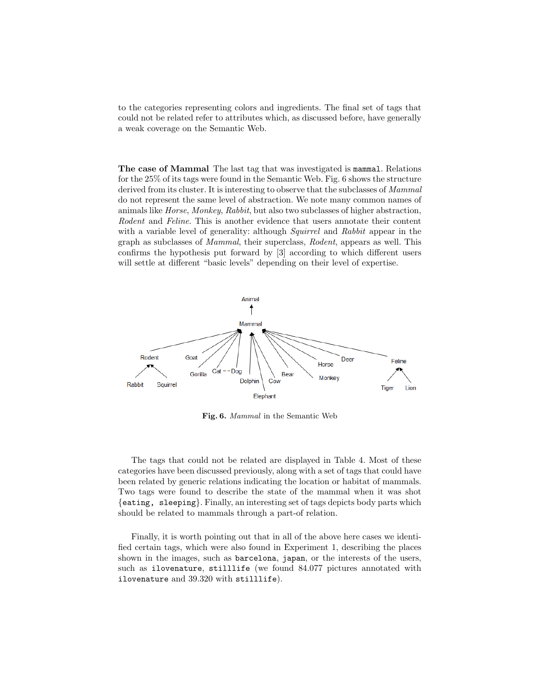to the categories representing colors and ingredients. The final set of tags that could not be related refer to attributes which, as discussed before, have generally a weak coverage on the Semantic Web.

The case of Mammal The last tag that was investigated is mammal. Relations for the 25% of its tags were found in the Semantic Web. Fig. 6 shows the structure derived from its cluster. It is interesting to observe that the subclasses of *Mammal* do not represent the same level of abstraction. We note many common names of animals like Horse, Monkey, Rabbit, but also two subclasses of higher abstraction, Rodent and Feline. This is another evidence that users annotate their content with a variable level of generality: although *Squirrel* and Rabbit appear in the graph as subclasses of Mammal, their superclass, Rodent, appears as well. This confirms the hypothesis put forward by [3] according to which different users will settle at different "basic levels" depending on their level of expertise.



Fig. 6. Mammal in the Semantic Web

The tags that could not be related are displayed in Table 4. Most of these categories have been discussed previously, along with a set of tags that could have been related by generic relations indicating the location or habitat of mammals. Two tags were found to describe the state of the mammal when it was shot {eating, sleeping}. Finally, an interesting set of tags depicts body parts which should be related to mammals through a part-of relation.

Finally, it is worth pointing out that in all of the above here cases we identified certain tags, which were also found in Experiment 1, describing the places shown in the images, such as barcelona, japan, or the interests of the users, such as ilovenature, stilllife (we found 84.077 pictures annotated with ilovenature and 39.320 with stilllife).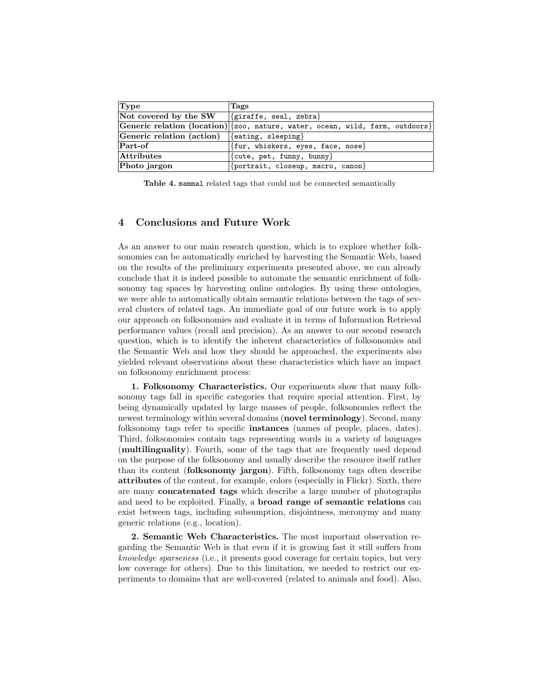| Type                      | Tags                                                                          |
|---------------------------|-------------------------------------------------------------------------------|
| Not covered by the SW     | $\{giraffe, seal, zebra\}$                                                    |
|                           | Generic relation (location) {zoo, nature, water, ocean, wild, farm, outdoors} |
| Generic relation (action) | $\{$ eating, sleeping $\}$                                                    |
| $Part-of$                 | $\{$ fur, whiskers, eyes, face, nose $\}$                                     |
| <b>Attributes</b>         | {cute, pet, funny, bunny}                                                     |
| Photo jargon              | $\{$ portrait, closeup, macro, canon $\}$                                     |

Table 4. mammal related tags that could not be connected semantically

#### 4 Conclusions and Future Work

As an answer to our main research question, which is to explore whether folksonomies can be automatically enriched by harvesting the Semantic Web, based on the results of the preliminary experiments presented above, we can already conclude that it is indeed possible to automate the semantic enrichment of folksonomy tag spaces by harvesting online ontologies. By using these ontologies, we were able to automatically obtain semantic relations between the tags of several clusters of related tags. An immediate goal of our future work is to apply our approach on folksonomies and evaluate it in terms of Information Retrieval performance values (recall and precision). As an answer to our second research question, which is to identify the inherent characteristics of folksonomies and the Semantic Web and how they should be approached, the experiments also yielded relevant observations about these characteristics which have an impact on folksonomy enrichment process:

1. Folksonomy Characteristics. Our experiments show that many folksonomy tags fall in specific categories that require special attention. First, by being dynamically updated by large masses of people, folksonomies reflect the newest terminology within several domains (novel terminology). Second, many folksonomy tags refer to specific instances (names of people, places, dates). Third, folksonomies contain tags representing words in a variety of languages (multilinguality). Fourth, some of the tags that are frequently used depend on the purpose of the folksonomy and usually describe the resource itself rather than its content (folksonomy jargon). Fifth, folksonomy tags often describe attributes of the content, for example, colors (especially in Flickr). Sixth, there are many concatenated tags which describe a large number of photographs and need to be exploited. Finally, a broad range of semantic relations can exist between tags, including subsumption, disjointness, meronymy and many generic relations (e.g., location).

2. Semantic Web Characteristics. The most important observation regarding the Semantic Web is that even if it is growing fast it still suffers from knowledge sparseness (i.e., it presents good coverage for certain topics, but very low coverage for others). Due to this limitation, we needed to restrict our experiments to domains that are well-covered (related to animals and food). Also,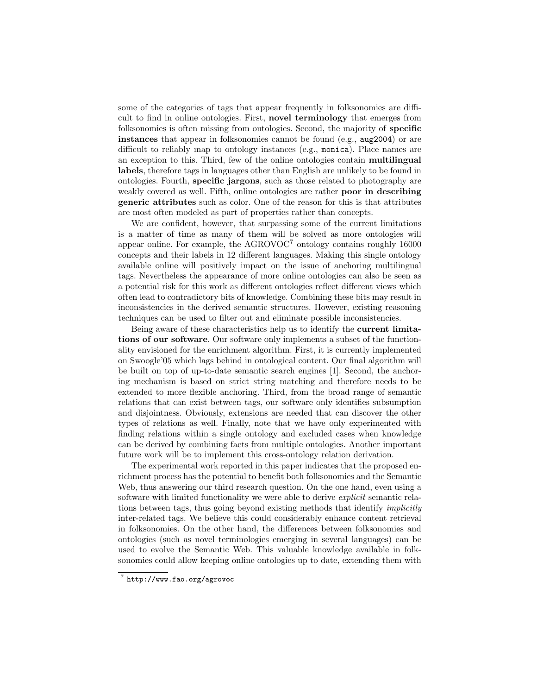some of the categories of tags that appear frequently in folksonomies are difficult to find in online ontologies. First, novel terminology that emerges from folksonomies is often missing from ontologies. Second, the majority of specific instances that appear in folksonomies cannot be found (e.g., aug2004) or are difficult to reliably map to ontology instances (e.g., monica). Place names are an exception to this. Third, few of the online ontologies contain multilingual labels, therefore tags in languages other than English are unlikely to be found in ontologies. Fourth, specific jargons, such as those related to photography are weakly covered as well. Fifth, online ontologies are rather **poor in describing** generic attributes such as color. One of the reason for this is that attributes are most often modeled as part of properties rather than concepts.

We are confident, however, that surpassing some of the current limitations is a matter of time as many of them will be solved as more ontologies will appear online. For example, the  $AGROVOC<sup>7</sup>$  ontology contains roughly 16000 concepts and their labels in 12 different languages. Making this single ontology available online will positively impact on the issue of anchoring multilingual tags. Nevertheless the appearance of more online ontologies can also be seen as a potential risk for this work as different ontologies reflect different views which often lead to contradictory bits of knowledge. Combining these bits may result in inconsistencies in the derived semantic structures. However, existing reasoning techniques can be used to filter out and eliminate possible inconsistencies.

Being aware of these characteristics help us to identify the current limitations of our software. Our software only implements a subset of the functionality envisioned for the enrichment algorithm. First, it is currently implemented on Swoogle'05 which lags behind in ontological content. Our final algorithm will be built on top of up-to-date semantic search engines [1]. Second, the anchoring mechanism is based on strict string matching and therefore needs to be extended to more flexible anchoring. Third, from the broad range of semantic relations that can exist between tags, our software only identifies subsumption and disjointness. Obviously, extensions are needed that can discover the other types of relations as well. Finally, note that we have only experimented with finding relations within a single ontology and excluded cases when knowledge can be derived by combining facts from multiple ontologies. Another important future work will be to implement this cross-ontology relation derivation.

The experimental work reported in this paper indicates that the proposed enrichment process has the potential to benefit both folksonomies and the Semantic Web, thus answering our third research question. On the one hand, even using a software with limited functionality we were able to derive *explicit* semantic relations between tags, thus going beyond existing methods that identify *implicitly* inter-related tags. We believe this could considerably enhance content retrieval in folksonomies. On the other hand, the differences between folksonomies and ontologies (such as novel terminologies emerging in several languages) can be used to evolve the Semantic Web. This valuable knowledge available in folksonomies could allow keeping online ontologies up to date, extending them with

<sup>7</sup> http://www.fao.org/agrovoc